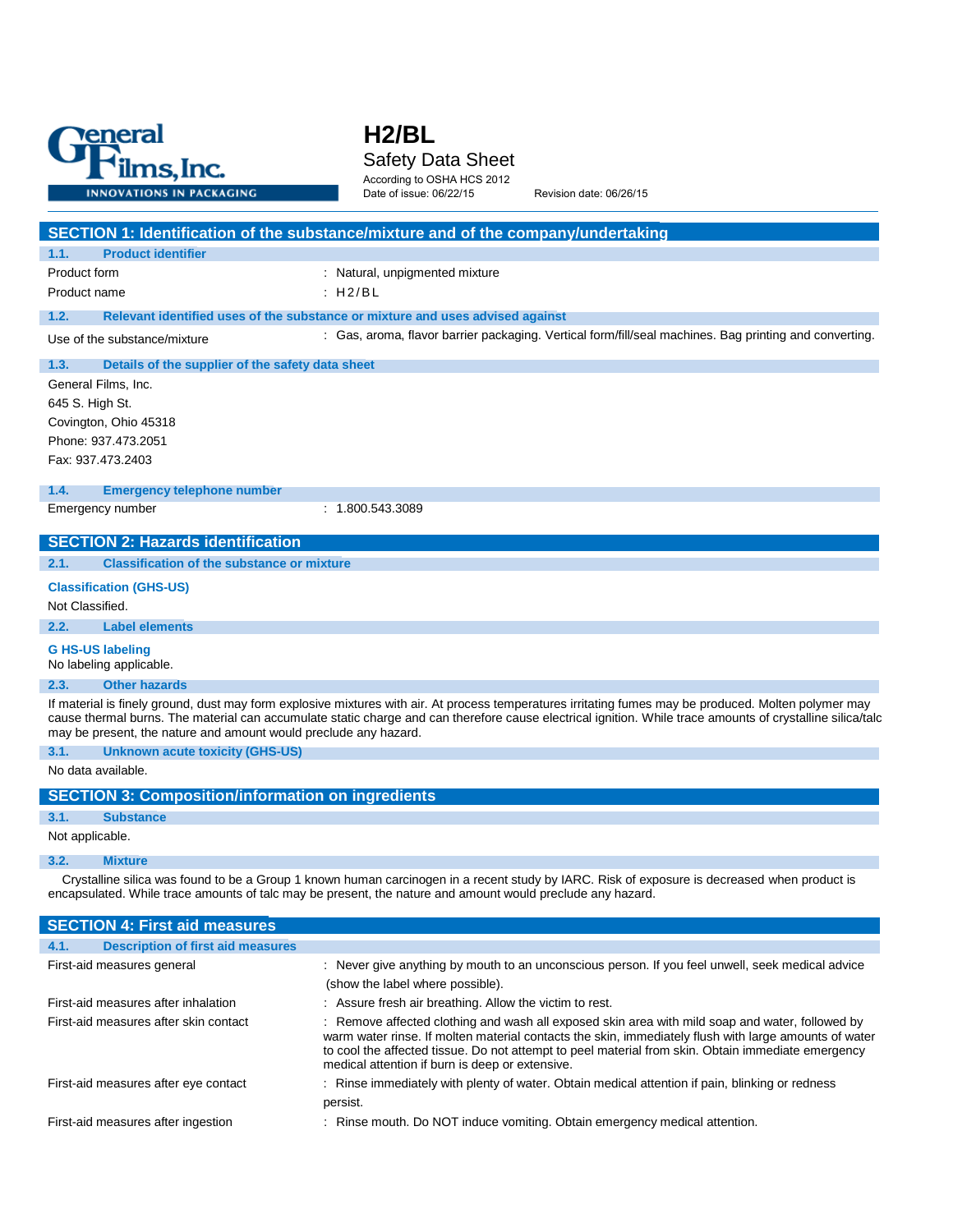

# **H2/BL** Safety Data Sheet According to OSHA HCS 2012

Date of issue: 06/22/15 Revision date: 06/26/15

|                                                                  | SECTION 1: Identification of the substance/mixture and of the company/undertaking                                                                                                                                                                                                                                                                                 |
|------------------------------------------------------------------|-------------------------------------------------------------------------------------------------------------------------------------------------------------------------------------------------------------------------------------------------------------------------------------------------------------------------------------------------------------------|
| 1.1.<br><b>Product identifier</b>                                |                                                                                                                                                                                                                                                                                                                                                                   |
| Product form                                                     | : Natural, unpigmented mixture                                                                                                                                                                                                                                                                                                                                    |
| Product name                                                     | :H2/BL                                                                                                                                                                                                                                                                                                                                                            |
| 1.2.                                                             | Relevant identified uses of the substance or mixture and uses advised against                                                                                                                                                                                                                                                                                     |
| Use of the substance/mixture                                     | : Gas, aroma, flavor barrier packaging. Vertical form/fill/seal machines. Bag printing and converting.                                                                                                                                                                                                                                                            |
| Details of the supplier of the safety data sheet<br>1.3.         |                                                                                                                                                                                                                                                                                                                                                                   |
| General Films, Inc.                                              |                                                                                                                                                                                                                                                                                                                                                                   |
| 645 S. High St.                                                  |                                                                                                                                                                                                                                                                                                                                                                   |
| Covington, Ohio 45318                                            |                                                                                                                                                                                                                                                                                                                                                                   |
| Phone: 937.473.2051                                              |                                                                                                                                                                                                                                                                                                                                                                   |
| Fax: 937.473.2403                                                |                                                                                                                                                                                                                                                                                                                                                                   |
| 1.4.<br><b>Emergency telephone number</b>                        |                                                                                                                                                                                                                                                                                                                                                                   |
| Emergency number                                                 | : 1.800.543.3089                                                                                                                                                                                                                                                                                                                                                  |
| <b>SECTION 2: Hazards identification</b>                         |                                                                                                                                                                                                                                                                                                                                                                   |
| <b>Classification of the substance or mixture</b><br>2.1.        |                                                                                                                                                                                                                                                                                                                                                                   |
|                                                                  |                                                                                                                                                                                                                                                                                                                                                                   |
| <b>Classification (GHS-US)</b>                                   |                                                                                                                                                                                                                                                                                                                                                                   |
| Not Classified.                                                  |                                                                                                                                                                                                                                                                                                                                                                   |
| <b>Label elements</b><br>2.2.                                    |                                                                                                                                                                                                                                                                                                                                                                   |
| <b>G HS-US labeling</b><br>No labeling applicable.               |                                                                                                                                                                                                                                                                                                                                                                   |
| 2.3.<br><b>Other hazards</b>                                     |                                                                                                                                                                                                                                                                                                                                                                   |
| may be present, the nature and amount would preclude any hazard. | If material is finely ground, dust may form explosive mixtures with air. At process temperatures irritating fumes may be produced. Molten polymer may<br>cause thermal burns. The material can accumulate static charge and can therefore cause electrical ignition. While trace amounts of crystalline silica/talc                                               |
| 3.1.<br><b>Unknown acute toxicity (GHS-US)</b>                   |                                                                                                                                                                                                                                                                                                                                                                   |
| No data available.                                               |                                                                                                                                                                                                                                                                                                                                                                   |
| <b>SECTION 3: Composition/information on ingredients</b>         |                                                                                                                                                                                                                                                                                                                                                                   |
| 3.1.<br><b>Substance</b>                                         |                                                                                                                                                                                                                                                                                                                                                                   |
| Not applicable.                                                  |                                                                                                                                                                                                                                                                                                                                                                   |
| 3.2.<br><b>Mixture</b>                                           |                                                                                                                                                                                                                                                                                                                                                                   |
|                                                                  | Crystalline silica was found to be a Group 1 known human carcinogen in a recent study by IARC. Risk of exposure is decreased when product is<br>encapsulated. While trace amounts of talc may be present, the nature and amount would preclude any hazard.                                                                                                        |
| <b>SECTION 4: First aid measures</b>                             |                                                                                                                                                                                                                                                                                                                                                                   |
| 4.1.<br><b>Description of first aid measures</b>                 |                                                                                                                                                                                                                                                                                                                                                                   |
| First-aid measures general                                       | : Never give anything by mouth to an unconscious person. If you feel unwell, seek medical advice                                                                                                                                                                                                                                                                  |
|                                                                  | (show the label where possible).                                                                                                                                                                                                                                                                                                                                  |
| First-aid measures after inhalation                              | : Assure fresh air breathing. Allow the victim to rest.                                                                                                                                                                                                                                                                                                           |
| First-aid measures after skin contact                            | : Remove affected clothing and wash all exposed skin area with mild soap and water, followed by<br>warm water rinse. If molten material contacts the skin, immediately flush with large amounts of water<br>to cool the affected tissue. Do not attempt to peel material from skin. Obtain immediate emergency<br>medical attention if burn is deep or extensive. |
|                                                                  |                                                                                                                                                                                                                                                                                                                                                                   |

First-aid measures after eye contact : Rinse immediately with plenty of water. Obtain medical attention if pain, blinking or redness persist.

First-aid measures after ingestion : Rinse mouth. Do NOT induce vomiting. Obtain emergency medical attention.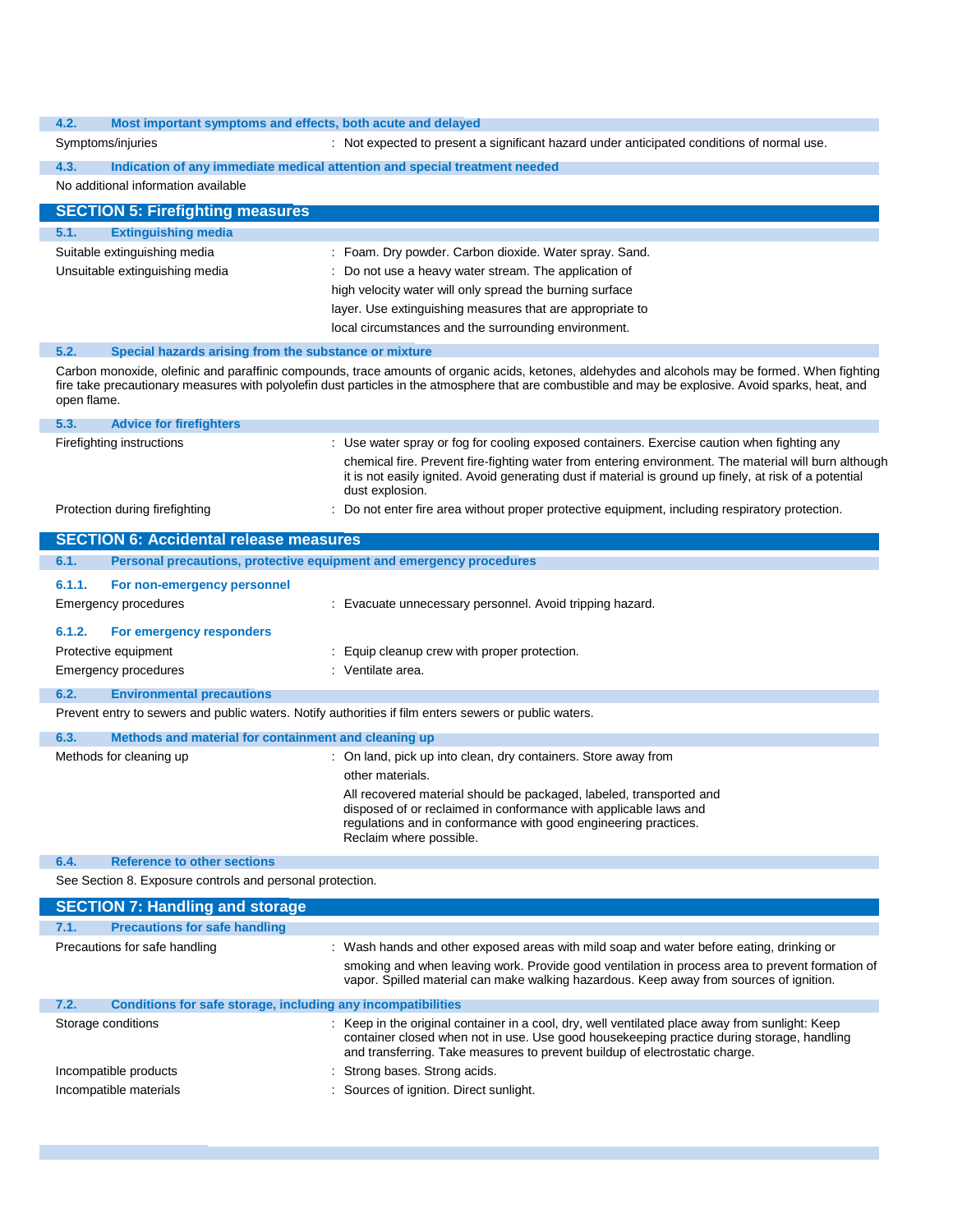#### **4.2. Most important symptoms and effects, both acute and delayed**

| 4.Z.                                                          | <u>MOSt important symptoms and effects, both acute and delayed</u>                                                                                                                                                                                                                                                                 |
|---------------------------------------------------------------|------------------------------------------------------------------------------------------------------------------------------------------------------------------------------------------------------------------------------------------------------------------------------------------------------------------------------------|
| Symptoms/injuries                                             | : Not expected to present a significant hazard under anticipated conditions of normal use.                                                                                                                                                                                                                                         |
| 4.3.                                                          | Indication of any immediate medical attention and special treatment needed                                                                                                                                                                                                                                                         |
| No additional information available                           |                                                                                                                                                                                                                                                                                                                                    |
| <b>SECTION 5: Firefighting measures</b>                       |                                                                                                                                                                                                                                                                                                                                    |
| 5.1.<br><b>Extinguishing media</b>                            |                                                                                                                                                                                                                                                                                                                                    |
| Suitable extinguishing media                                  | : Foam. Dry powder. Carbon dioxide. Water spray. Sand.                                                                                                                                                                                                                                                                             |
| Unsuitable extinguishing media                                | : Do not use a heavy water stream. The application of                                                                                                                                                                                                                                                                              |
|                                                               | high velocity water will only spread the burning surface                                                                                                                                                                                                                                                                           |
|                                                               | layer. Use extinguishing measures that are appropriate to                                                                                                                                                                                                                                                                          |
|                                                               | local circumstances and the surrounding environment.                                                                                                                                                                                                                                                                               |
| 5.2.<br>Special hazards arising from the substance or mixture |                                                                                                                                                                                                                                                                                                                                    |
| open flame.                                                   | Carbon monoxide, olefinic and paraffinic compounds, trace amounts of organic acids, ketones, aldehydes and alcohols may be formed. When fighting<br>fire take precautionary measures with polyolefin dust particles in the atmosphere that are combustible and may be explosive. Avoid sparks, heat, and                           |
| 5.3.<br><b>Advice for firefighters</b>                        |                                                                                                                                                                                                                                                                                                                                    |
| Firefighting instructions                                     | : Use water spray or fog for cooling exposed containers. Exercise caution when fighting any<br>chemical fire. Prevent fire-fighting water from entering environment. The material will burn although<br>it is not easily ignited. Avoid generating dust if material is ground up finely, at risk of a potential<br>dust explosion. |
| Protection during firefighting                                | : Do not enter fire area without proper protective equipment, including respiratory protection.                                                                                                                                                                                                                                    |
| <b>SECTION 6: Accidental release measures</b>                 |                                                                                                                                                                                                                                                                                                                                    |
| 6.1.                                                          | Personal precautions, protective equipment and emergency procedures                                                                                                                                                                                                                                                                |
| 6.1.1.<br>For non-emergency personnel                         |                                                                                                                                                                                                                                                                                                                                    |
| <b>Emergency procedures</b>                                   | : Evacuate unnecessary personnel. Avoid tripping hazard.                                                                                                                                                                                                                                                                           |
| 6.1.2.<br>For emergency responders                            |                                                                                                                                                                                                                                                                                                                                    |
| Protective equipment                                          | Equip cleanup crew with proper protection.                                                                                                                                                                                                                                                                                         |
| <b>Emergency procedures</b>                                   | : Ventilate area.                                                                                                                                                                                                                                                                                                                  |
| 6.2.<br><b>Environmental precautions</b>                      |                                                                                                                                                                                                                                                                                                                                    |
|                                                               | Prevent entry to sewers and public waters. Notify authorities if film enters sewers or public waters.                                                                                                                                                                                                                              |
|                                                               |                                                                                                                                                                                                                                                                                                                                    |
| 6.3.<br>Methods and material for containment and cleaning up  |                                                                                                                                                                                                                                                                                                                                    |
| Methods for cleaning up                                       | : On land, pick up into clean, dry containers. Store away from<br>other materials.                                                                                                                                                                                                                                                 |
|                                                               | All recovered material should be packaged, labeled, transported and<br>disposed of or reclaimed in conformance with applicable laws and<br>regulations and in conformance with good engineering practices.<br>Reclaim where possible.                                                                                              |
| 6.4.<br><b>Reference to other sections</b>                    |                                                                                                                                                                                                                                                                                                                                    |
| See Section 8. Exposure controls and personal protection.     |                                                                                                                                                                                                                                                                                                                                    |
| <b>SECTION 7: Handling and storage</b>                        |                                                                                                                                                                                                                                                                                                                                    |
| 7.1.<br><b>Precautions for safe handling</b>                  |                                                                                                                                                                                                                                                                                                                                    |
| Precautions for safe handling                                 | : Wash hands and other exposed areas with mild soap and water before eating, drinking or                                                                                                                                                                                                                                           |
|                                                               | smoking and when leaving work. Provide good ventilation in process area to prevent formation of<br>vapor. Spilled material can make walking hazardous. Keep away from sources of ignition.                                                                                                                                         |
| 7.2.                                                          | Conditions for safe storage, including any incompatibilities                                                                                                                                                                                                                                                                       |
| Storage conditions                                            | : Keep in the original container in a cool, dry, well ventilated place away from sunlight: Keep<br>container closed when not in use. Use good housekeeping practice during storage, handling<br>and transferring. Take measures to prevent buildup of electrostatic charge.                                                        |

- Incompatible products in the strong bases. Strong acids.
- Incompatible materials **incompatible materials** : Sources of ignition. Direct sunlight.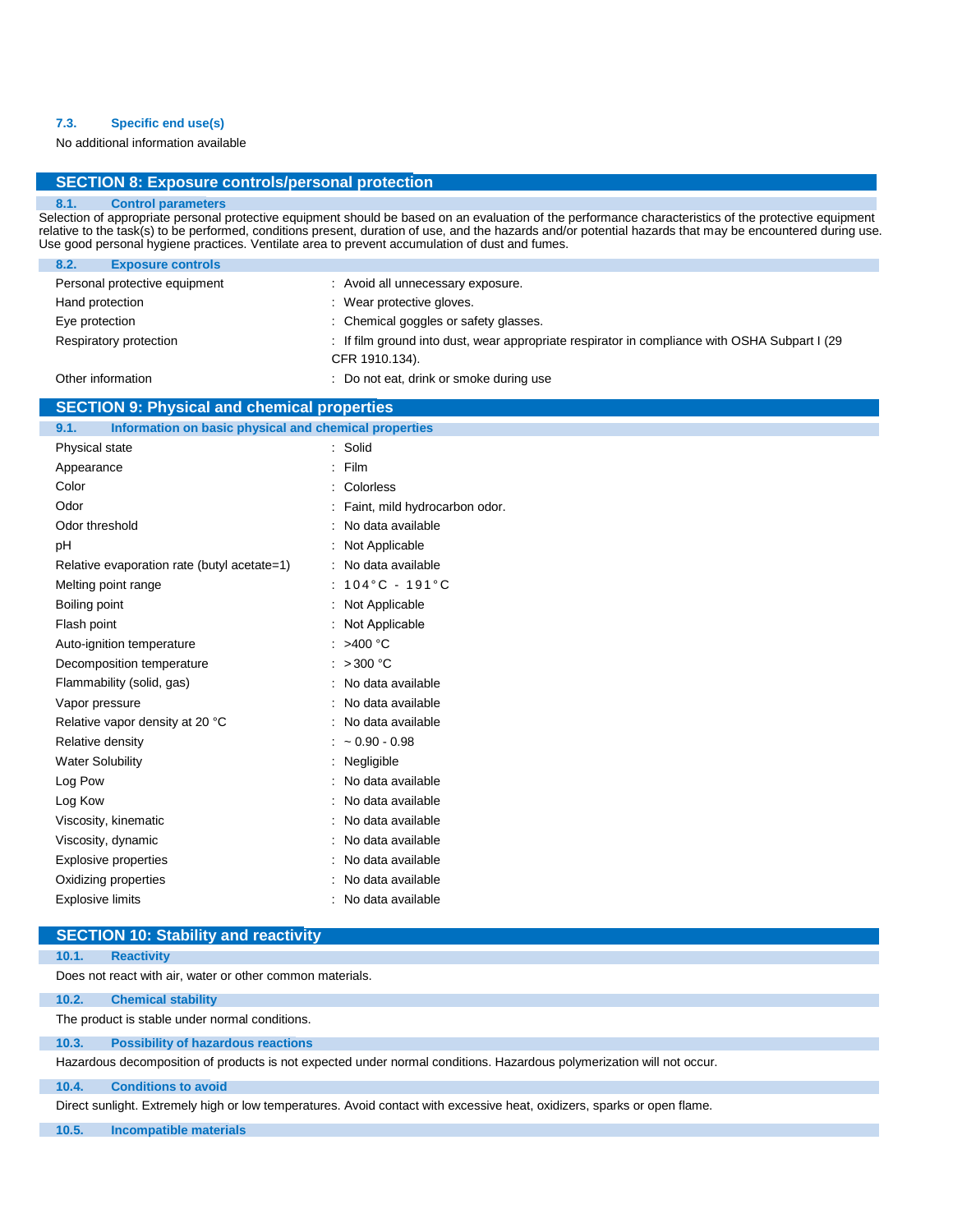## **7.3. Specific end use(s)**

No additional information available

## **SECTION 8: Exposure controls/personal protection**

## **8.1. Control parameters**

Selection of appropriate personal protective equipment should be based on an evaluation of the performance characteristics of the protective equipment relative to the task(s) to be performed, conditions present, duration of use, and the hazards and/or potential hazards that may be encountered during use. Use good personal hygiene practices. Ventilate area to prevent accumulation of dust and fumes.

| <b>Exposure controls</b><br>8.2. |                                                                                                |
|----------------------------------|------------------------------------------------------------------------------------------------|
| Personal protective equipment    | : Avoid all unnecessary exposure.                                                              |
| Hand protection                  | : Wear protective gloves.                                                                      |
| Eye protection                   | : Chemical goggles or safety glasses.                                                          |
| Respiratory protection           | : If film ground into dust, wear appropriate respirator in compliance with OSHA Subpart I (29) |
|                                  | CFR 1910.134).                                                                                 |
| Other information                | : Do not eat, drink or smoke during use                                                        |

## **SECTION 9: Physical and chemical properties**

| Information on basic physical and chemical properties<br>9.1. |   |                                      |
|---------------------------------------------------------------|---|--------------------------------------|
| Physical state                                                |   | : Solid                              |
| Appearance                                                    | ÷ | Film                                 |
| Color                                                         |   | Colorless                            |
| Odor                                                          |   | : Faint, mild hydrocarbon odor.      |
| Odor threshold                                                |   | No data available                    |
| pH                                                            |   | Not Applicable                       |
| Relative evaporation rate (butyl acetate=1)                   |   | : No data available                  |
| Melting point range                                           |   | $: 104^{\circ}$ C - 191 $^{\circ}$ C |
| Boiling point                                                 |   | Not Applicable                       |
| Flash point                                                   |   | Not Applicable                       |
| Auto-ignition temperature                                     |   | : >400 $^{\circ}$ C                  |
| Decomposition temperature                                     |   | : $>300$ °C                          |
| Flammability (solid, gas)                                     |   | : No data available                  |
| Vapor pressure                                                |   | : No data available                  |
| Relative vapor density at 20 °C                               |   | : No data available                  |
| Relative density                                              |   | $~1$ 0.90 - 0.98                     |
| <b>Water Solubility</b>                                       |   | Negligible                           |
| Log Pow                                                       |   | No data available                    |
| Log Kow                                                       |   | No data available                    |
| Viscosity, kinematic                                          |   | No data available                    |
| Viscosity, dynamic                                            |   | No data available                    |
| Explosive properties                                          |   | No data available                    |
| Oxidizing properties                                          |   | No data available                    |
| <b>Explosive limits</b>                                       |   | No data available                    |
|                                                               |   |                                      |

# **SECTION 10: Stability and reactivity**

#### **10.1. Reactivity**

Does not react with air, water or other common materials.

### **10.2. Chemical stability**

The product is stable under normal conditions.

### **10.3. Possibility of hazardous reactions**

Hazardous decomposition of products is not expected under normal conditions. Hazardous polymerization will not occur.

### **10.4. Conditions to avoid**

Direct sunlight. Extremely high or low temperatures. Avoid contact with excessive heat, oxidizers, sparks or open flame.

**10.5. Incompatible materials**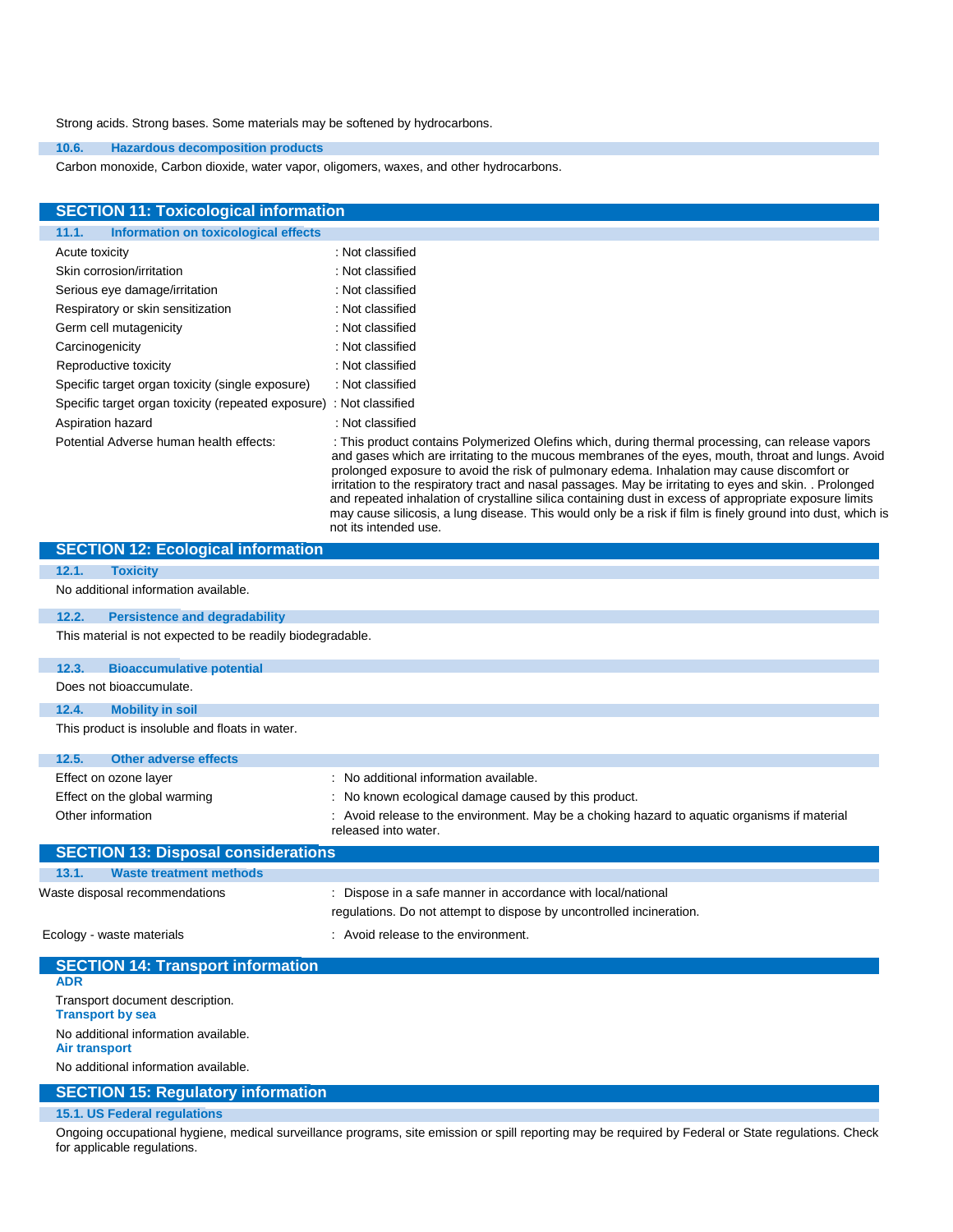Strong acids. Strong bases. Some materials may be softened by hydrocarbons.

### **10.6. Hazardous decomposition products**

Carbon monoxide, Carbon dioxide, water vapor, oligomers, waxes, and other hydrocarbons.

| <b>SECTION 11: Toxicological information</b>                        |                                                                                                                                                                                                                                                                                                                                                                                                                                                                                                                                                                                                                                           |
|---------------------------------------------------------------------|-------------------------------------------------------------------------------------------------------------------------------------------------------------------------------------------------------------------------------------------------------------------------------------------------------------------------------------------------------------------------------------------------------------------------------------------------------------------------------------------------------------------------------------------------------------------------------------------------------------------------------------------|
| Information on toxicological effects<br>11.1.                       |                                                                                                                                                                                                                                                                                                                                                                                                                                                                                                                                                                                                                                           |
| Acute toxicity                                                      | : Not classified                                                                                                                                                                                                                                                                                                                                                                                                                                                                                                                                                                                                                          |
| Skin corrosion/irritation                                           | : Not classified                                                                                                                                                                                                                                                                                                                                                                                                                                                                                                                                                                                                                          |
| Serious eye damage/irritation                                       | : Not classified                                                                                                                                                                                                                                                                                                                                                                                                                                                                                                                                                                                                                          |
| Respiratory or skin sensitization                                   | : Not classified                                                                                                                                                                                                                                                                                                                                                                                                                                                                                                                                                                                                                          |
| Germ cell mutagenicity                                              | : Not classified                                                                                                                                                                                                                                                                                                                                                                                                                                                                                                                                                                                                                          |
| Carcinogenicity                                                     | : Not classified                                                                                                                                                                                                                                                                                                                                                                                                                                                                                                                                                                                                                          |
| Reproductive toxicity                                               | : Not classified                                                                                                                                                                                                                                                                                                                                                                                                                                                                                                                                                                                                                          |
| Specific target organ toxicity (single exposure)                    | : Not classified                                                                                                                                                                                                                                                                                                                                                                                                                                                                                                                                                                                                                          |
| Specific target organ toxicity (repeated exposure) : Not classified |                                                                                                                                                                                                                                                                                                                                                                                                                                                                                                                                                                                                                                           |
| Aspiration hazard                                                   | : Not classified                                                                                                                                                                                                                                                                                                                                                                                                                                                                                                                                                                                                                          |
| Potential Adverse human health effects:                             | : This product contains Polymerized Olefins which, during thermal processing, can release vapors<br>and gases which are irritating to the mucous membranes of the eyes, mouth, throat and lungs. Avoid<br>prolonged exposure to avoid the risk of pulmonary edema. Inhalation may cause discomfort or<br>irritation to the respiratory tract and nasal passages. May be irritating to eyes and skin. . Prolonged<br>and repeated inhalation of crystalline silica containing dust in excess of appropriate exposure limits<br>may cause silicosis, a lung disease. This would only be a risk if film is finely ground into dust, which is |

not its intended use.

| <b>SECTION 12: Ecological information</b>                  |                                                                                                                                      |
|------------------------------------------------------------|--------------------------------------------------------------------------------------------------------------------------------------|
| 12.1.<br><b>Toxicity</b>                                   |                                                                                                                                      |
| No additional information available.                       |                                                                                                                                      |
| <b>Persistence and degradability</b><br>12.2.              |                                                                                                                                      |
| This material is not expected to be readily biodegradable. |                                                                                                                                      |
| <b>Bioaccumulative potential</b><br>12.3.                  |                                                                                                                                      |
| Does not bioaccumulate.                                    |                                                                                                                                      |
| <b>Mobility in soil</b><br>12.4.                           |                                                                                                                                      |
| This product is insoluble and floats in water.             |                                                                                                                                      |
| <b>Other adverse effects</b><br>12.5.                      |                                                                                                                                      |
| Effect on ozone layer                                      | : No additional information available.                                                                                               |
| Effect on the global warming                               | : No known ecological damage caused by this product.                                                                                 |
| Other information                                          | : Avoid release to the environment. May be a choking hazard to aquatic organisms if material<br>released into water.                 |
| <b>SECTION 13: Disposal considerations</b>                 |                                                                                                                                      |
| 13.1.<br><b>Waste treatment methods</b>                    |                                                                                                                                      |
| Waste disposal recommendations                             | : Dispose in a safe manner in accordance with local/national<br>regulations. Do not attempt to dispose by uncontrolled incineration. |
| Ecology - waste materials                                  | : Avoid release to the environment.                                                                                                  |
| <b>SECTION 14: Transport information</b>                   |                                                                                                                                      |
| <b>ADR</b>                                                 |                                                                                                                                      |
| Transport document description.<br><b>Transport by sea</b> |                                                                                                                                      |

No additional information available.

**Air transport**

No additional information available.

## **SECTION 15: Regulatory information**

## **15.1. US Federal regulations**

Ongoing occupational hygiene, medical surveillance programs, site emission or spill reporting may be required by Federal or State regulations. Check for applicable regulations.